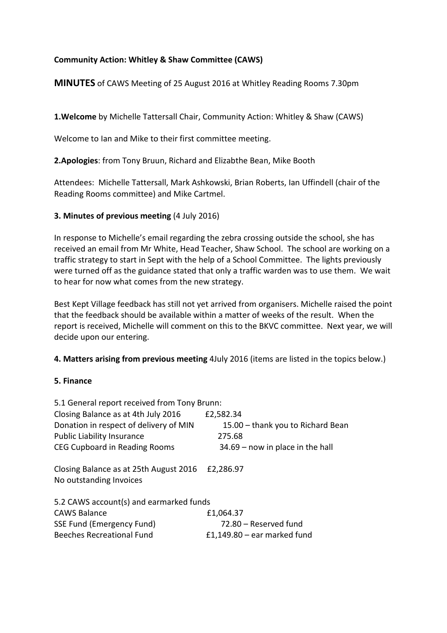# **Community Action: Whitley & Shaw Committee (CAWS)**

**MINUTES** of CAWS Meeting of 25 August 2016 at Whitley Reading Rooms 7.30pm

**1.Welcome** by Michelle Tattersall Chair, Community Action: Whitley & Shaw (CAWS)

Welcome to Ian and Mike to their first committee meeting.

**2.Apologies**: from Tony Bruun, Richard and Elizabthe Bean, Mike Booth

Attendees: Michelle Tattersall, Mark Ashkowski, Brian Roberts, Ian Uffindell (chair of the Reading Rooms committee) and Mike Cartmel.

#### **3. Minutes of previous meeting** (4 July 2016)

In response to Michelle's email regarding the zebra crossing outside the school, she has received an email from Mr White, Head Teacher, Shaw School. The school are working on a traffic strategy to start in Sept with the help of a School Committee. The lights previously were turned off as the guidance stated that only a traffic warden was to use them. We wait to hear for now what comes from the new strategy.

Best Kept Village feedback has still not yet arrived from organisers. Michelle raised the point that the feedback should be available within a matter of weeks of the result. When the report is received, Michelle will comment on this to the BKVC committee. Next year, we will decide upon our entering.

**4. Matters arising from previous meeting** 4July 2016 (items are listed in the topics below.)

#### **5. Finance**

| 5.1 General report received from Tony Brunn:                      |                                    |
|-------------------------------------------------------------------|------------------------------------|
| Closing Balance as at 4th July 2016                               | £2,582.34                          |
| Donation in respect of delivery of MIN                            | 15.00 - thank you to Richard Bean  |
| <b>Public Liability Insurance</b>                                 | 275.68                             |
| CEG Cupboard in Reading Rooms                                     | $34.69$ – now in place in the hall |
| Closing Balance as at 25th August 2016<br>No outstanding Invoices | £2,286.97                          |
| 5.2 CAWS account(s) and earmarked funds                           |                                    |
| <b>CAWS Balance</b>                                               | £1,064.37                          |
| SSE Fund (Emergency Fund)                                         | 72.80 – Reserved fund              |
| <b>Beeches Recreational Fund</b>                                  | £1,149.80 $-$ ear marked fund      |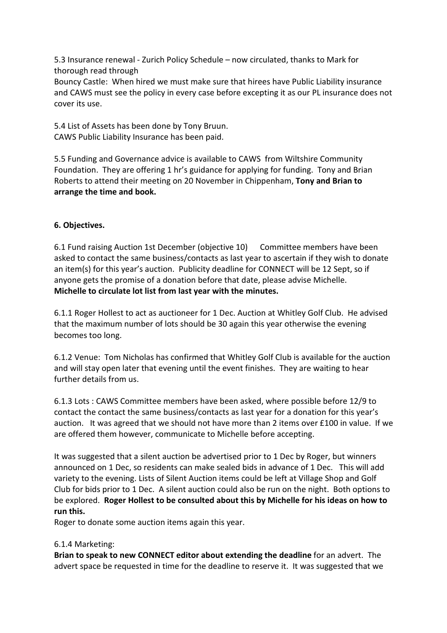5.3 Insurance renewal - Zurich Policy Schedule – now circulated, thanks to Mark for thorough read through

Bouncy Castle: When hired we must make sure that hirees have Public Liability insurance and CAWS must see the policy in every case before excepting it as our PL insurance does not cover its use.

5.4 List of Assets has been done by Tony Bruun. CAWS Public Liability Insurance has been paid.

5.5 Funding and Governance advice is available to CAWS from Wiltshire Community Foundation. They are offering 1 hr's guidance for applying for funding. Tony and Brian Roberts to attend their meeting on 20 November in Chippenham, **Tony and Brian to arrange the time and book.**

# **6. Objectives.**

6.1 Fund raising Auction 1st December (objective 10) Committee members have been asked to contact the same business/contacts as last year to ascertain if they wish to donate an item(s) for this year's auction. Publicity deadline for CONNECT will be 12 Sept, so if anyone gets the promise of a donation before that date, please advise Michelle. **Michelle to circulate lot list from last year with the minutes.** 

6.1.1 Roger Hollest to act as auctioneer for 1 Dec. Auction at Whitley Golf Club. He advised that the maximum number of lots should be 30 again this year otherwise the evening becomes too long.

6.1.2 Venue: Tom Nicholas has confirmed that Whitley Golf Club is available for the auction and will stay open later that evening until the event finishes. They are waiting to hear further details from us.

6.1.3 Lots : CAWS Committee members have been asked, where possible before 12/9 to contact the contact the same business/contacts as last year for a donation for this year's auction. It was agreed that we should not have more than 2 items over £100 in value. If we are offered them however, communicate to Michelle before accepting.

It was suggested that a silent auction be advertised prior to 1 Dec by Roger, but winners announced on 1 Dec, so residents can make sealed bids in advance of 1 Dec. This will add variety to the evening. Lists of Silent Auction items could be left at Village Shop and Golf Club for bids prior to 1 Dec. A silent auction could also be run on the night. Both options to be explored. **Roger Hollest to be consulted about this by Michelle for his ideas on how to run this.**

Roger to donate some auction items again this year.

### 6.1.4 Marketing:

**Brian to speak to new CONNECT editor about extending the deadline** for an advert. The advert space be requested in time for the deadline to reserve it. It was suggested that we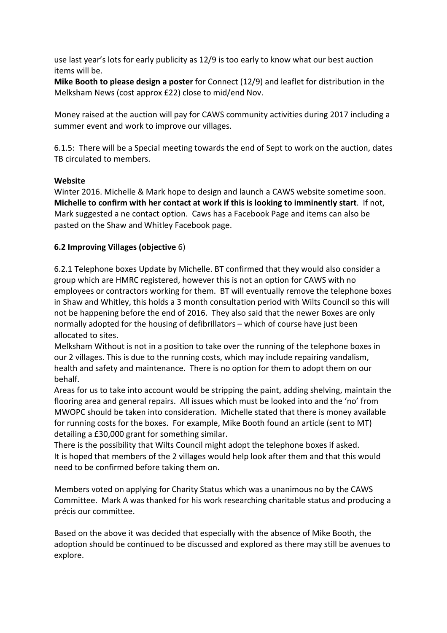use last year's lots for early publicity as 12/9 is too early to know what our best auction items will be.

**Mike Booth to please design a poster** for Connect (12/9) and leaflet for distribution in the Melksham News (cost approx £22) close to mid/end Nov.

Money raised at the auction will pay for CAWS community activities during 2017 including a summer event and work to improve our villages.

6.1.5: There will be a Special meeting towards the end of Sept to work on the auction, dates TB circulated to members.

### **Website**

Winter 2016. Michelle & Mark hope to design and launch a CAWS website sometime soon. **Michelle to confirm with her contact at work if this is looking to imminently start**. If not, Mark suggested a ne contact option. Caws has a Facebook Page and items can also be pasted on the Shaw and Whitley Facebook page.

# **6.2 Improving Villages (objective** 6)

6.2.1 Telephone boxes Update by Michelle. BT confirmed that they would also consider a group which are HMRC registered, however this is not an option for CAWS with no employees or contractors working for them. BT will eventually remove the telephone boxes in Shaw and Whitley, this holds a 3 month consultation period with Wilts Council so this will not be happening before the end of 2016. They also said that the newer Boxes are only normally adopted for the housing of defibrillators – which of course have just been allocated to sites.

Melksham Without is not in a position to take over the running of the telephone boxes in our 2 villages. This is due to the running costs, which may include repairing vandalism, health and safety and maintenance. There is no option for them to adopt them on our behalf.

Areas for us to take into account would be stripping the paint, adding shelving, maintain the flooring area and general repairs. All issues which must be looked into and the 'no' from MWOPC should be taken into consideration. Michelle stated that there is money available for running costs for the boxes. For example, Mike Booth found an article (sent to MT) detailing a £30,000 grant for something similar.

There is the possibility that Wilts Council might adopt the telephone boxes if asked. It is hoped that members of the 2 villages would help look after them and that this would need to be confirmed before taking them on.

Members voted on applying for Charity Status which was a unanimous no by the CAWS Committee. Mark A was thanked for his work researching charitable status and producing a précis our committee.

Based on the above it was decided that especially with the absence of Mike Booth, the adoption should be continued to be discussed and explored as there may still be avenues to explore.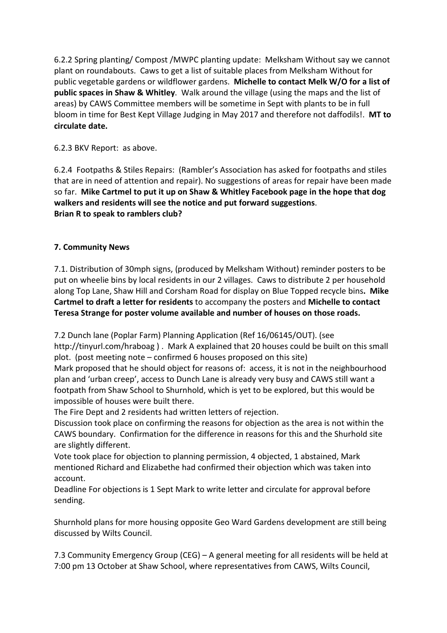6.2.2 Spring planting/ Compost /MWPC planting update: Melksham Without say we cannot plant on roundabouts. Caws to get a list of suitable places from Melksham Without for public vegetable gardens or wildflower gardens. **Michelle to contact Melk W/O for a list of public spaces in Shaw & Whitley**. Walk around the village (using the maps and the list of areas) by CAWS Committee members will be sometime in Sept with plants to be in full bloom in time for Best Kept Village Judging in May 2017 and therefore not daffodils!. **MT to circulate date.**

# 6.2.3 BKV Report: as above.

6.2.4 Footpaths & Stiles Repairs: (Rambler's Association has asked for footpaths and stiles that are in need of attention and repair). No suggestions of areas for repair have been made so far. **Mike Cartmel to put it up on Shaw & Whitley Facebook page in the hope that dog walkers and residents will see the notice and put forward suggestions**. **Brian R to speak to ramblers club?** 

# **7. Community News**

7.1. Distribution of 30mph signs, (produced by Melksham Without) reminder posters to be put on wheelie bins by local residents in our 2 villages. Caws to distribute 2 per household along Top Lane, Shaw Hill and Corsham Road for display on Blue Topped recycle bins**. Mike Cartmel to draft a letter for residents** to accompany the posters and **Michelle to contact Teresa Strange for poster volume available and number of houses on those roads.** 

7.2 Dunch lane (Poplar Farm) Planning Application (Ref 16/06145/OUT). (see http://tinyurl.com/hraboag ) . Mark A explained that 20 houses could be built on this small plot. (post meeting note – confirmed 6 houses proposed on this site)

Mark proposed that he should object for reasons of: access, it is not in the neighbourhood plan and 'urban creep', access to Dunch Lane is already very busy and CAWS still want a footpath from Shaw School to Shurnhold, which is yet to be explored, but this would be impossible of houses were built there.

The Fire Dept and 2 residents had written letters of rejection.

Discussion took place on confirming the reasons for objection as the area is not within the CAWS boundary. Confirmation for the difference in reasons for this and the Shurhold site are slightly different.

Vote took place for objection to planning permission, 4 objected, 1 abstained, Mark mentioned Richard and Elizabethe had confirmed their objection which was taken into account.

Deadline For objections is 1 Sept Mark to write letter and circulate for approval before sending.

Shurnhold plans for more housing opposite Geo Ward Gardens development are still being discussed by Wilts Council.

7.3 Community Emergency Group (CEG) – A general meeting for all residents will be held at 7:00 pm 13 October at Shaw School, where representatives from CAWS, Wilts Council,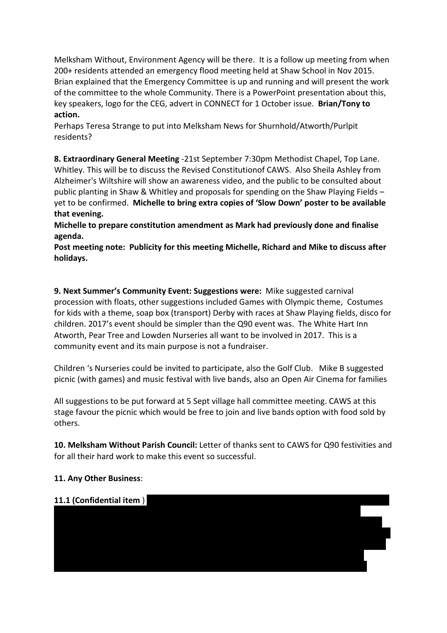Melksham Without, Environment Agency will be there. It is a follow up meeting from when 200+ residents attended an emergency flood meeting held at Shaw School in Nov 2015. Brian explained that the Emergency Committee is up and running and will present the work of the committee to the whole Community. There is a PowerPoint presentation about this, key speakers, logo for the CEG, advert in CONNECT for 1 October issue. **Brian/Tony to action.** 

Perhaps Teresa Strange to put into Melksham News for Shurnhold/Atworth/Purlpit residents?

**8. Extraordinary General Meeting** -21st September 7:30pm Methodist Chapel, Top Lane. Whitley. This will be to discuss the Revised Constitutionof CAWS. Also Sheila Ashley from Alzheimer's Wiltshire will show an awareness video, and the public to be consulted about public planting in Shaw & Whitley and proposals for spending on the Shaw Playing Fields – yet to be confirmed. **Michelle to bring extra copies of 'Slow Down' poster to be available that evening.** 

**Michelle to prepare constitution amendment as Mark had previously done and finalise agenda.** 

**Post meeting note: Publicity for this meeting Michelle, Richard and Mike to discuss after holidays.** 

**9. Next Summer's Community Event: Suggestions were:** Mike suggested carnival procession with floats, other suggestions included Games with Olympic theme, Costumes for kids with a theme, soap box (transport) Derby with races at Shaw Playing fields, disco for children. 2017's event should be simpler than the Q90 event was. The White Hart Inn Atworth, Pear Tree and Lowden Nurseries all want to be involved in 2017. This is a community event and its main purpose is not a fundraiser.

Children 's Nurseries could be invited to participate, also the Golf Club. Mike B suggested picnic (with games) and music festival with live bands, also an Open Air Cinema for families

All suggestions to be put forward at 5 Sept village hall committee meeting. CAWS at this stage favour the picnic which would be free to join and live bands option with food sold by others.

**10. Melksham Without Parish Council:** Letter of thanks sent to CAWS for Q90 festivities and for all their hard work to make this event so successful.

### **11. Any Other Business**: